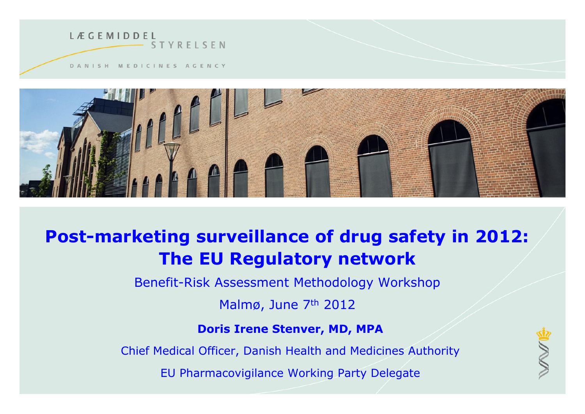



#### **Post-marketing surveillance of drug safety in 2012: The EU Regulatory network**

Benefit-Risk Assessment Methodology Workshop

Malmø, June 7th 2012

#### **Doris Irene Stenver, MD, MPA**

Chief Medical Officer, Danish Health and Medicines Authority

EU Pharmacovigilance Working Party Delegate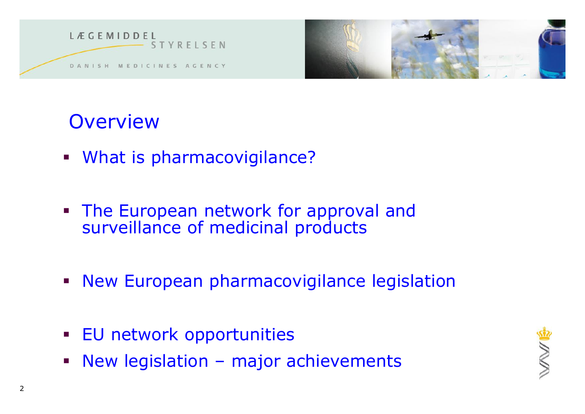

#### **Overview**

- What is pharmacovigilance?
- **The European network for approval and** surveillance of medicinal products
- **New European pharmacovigilance legislation**
- **EU network opportunities**
- **New legislation major achievements**

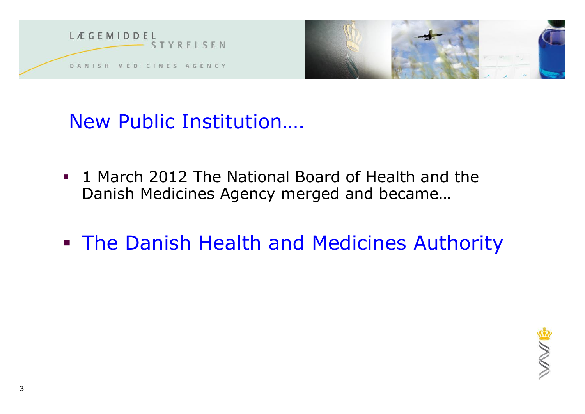



New Public Institution….

- **1 March 2012 The National Board of Health and the** Danish Medicines Agency merged and became…
- **The Danish Health and Medicines Authority**

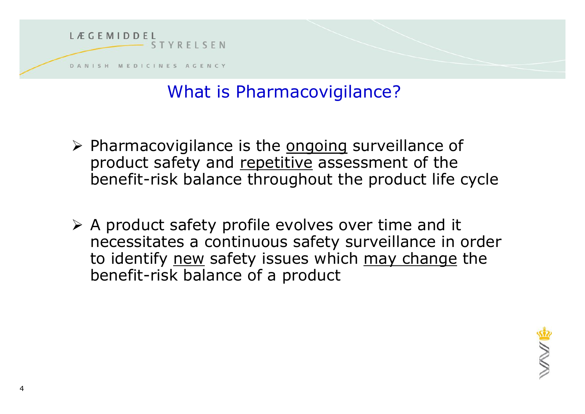

#### What is Pharmacovigilance?

- $\triangleright$  Pharmacovigilance is the ongoing surveillance of product safety and repetitive assessment of the benefit-risk balance throughout the product life cycle
- $\triangleright$  A product safety profile evolves over time and it necessitates a continuous safety surveillance in order to identify new safety issues which may change the benefit-risk balance of a product

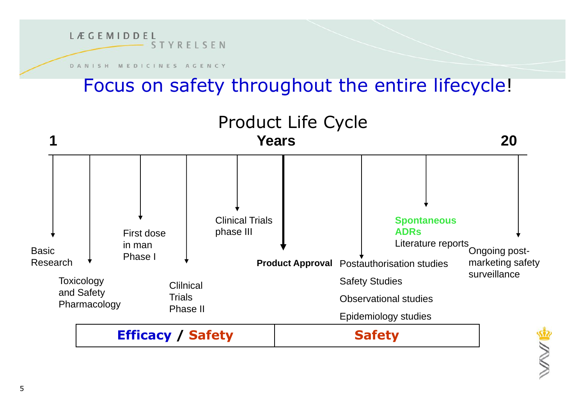

#### Focus on safety throughout the entire lifecycle!

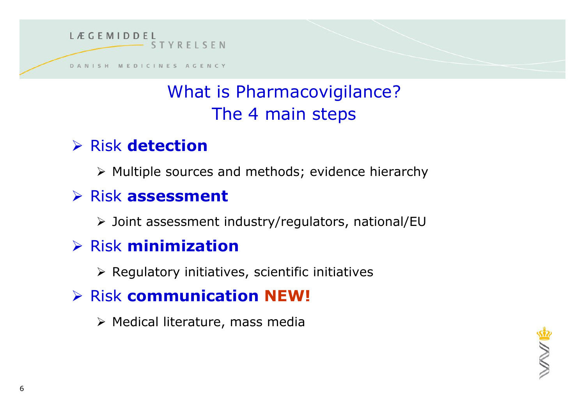

#### What is Pharmacovigilance? The 4 main steps

#### Risk **detection**

 $\triangleright$  Multiple sources and methods; evidence hierarchy

#### Risk **assessment**

Joint assessment industry/regulators, national/EU

#### Risk **minimization**

 $\triangleright$  Regulatory initiatives, scientific initiatives

#### Risk **communication NEW!**

 $\triangleright$  Medical literature, mass media

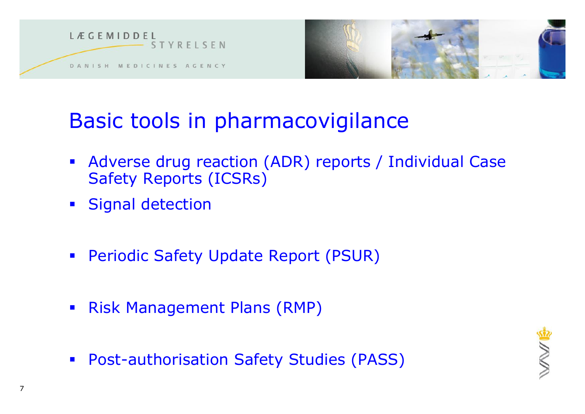

## Basic tools in pharmacovigilance

- Adverse drug reaction (ADR) reports / Individual Case Safety Reports (ICSRs)
- **Signal detection**
- **Periodic Safety Update Report (PSUR)**
- **Risk Management Plans (RMP)**
- **Post-authorisation Safety Studies (PASS)**

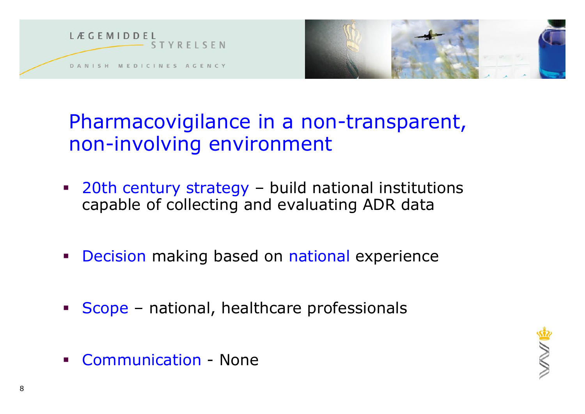

#### Pharmacovigilance in a non-transparent, non-involving environment

- 20th century strategy build national institutions capable of collecting and evaluating ADR data
- **Decision making based on national experience**
- Scope national, healthcare professionals
- Communication None

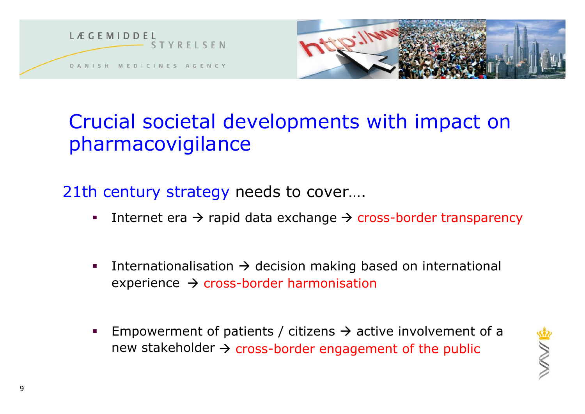



#### Crucial societal developments with impact on pharmacovigilance

21th century strategy needs to cover….

- Internet era  $\rightarrow$  rapid data exchange  $\rightarrow$  cross-border transparency
- Internationalisation  $\rightarrow$  decision making based on international  $experience \rightarrow cross-border harmonisation$
- Empowerment of patients / citizens  $\rightarrow$  active involvement of a new stakeholder  $\rightarrow$  cross-border engagement of the public

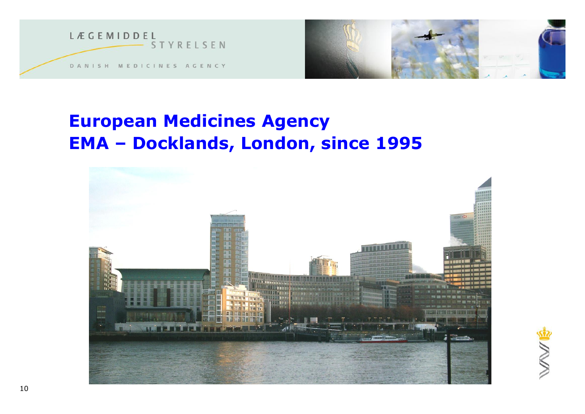



#### **European Medicines Agency EMA – Docklands, London, since 1995**

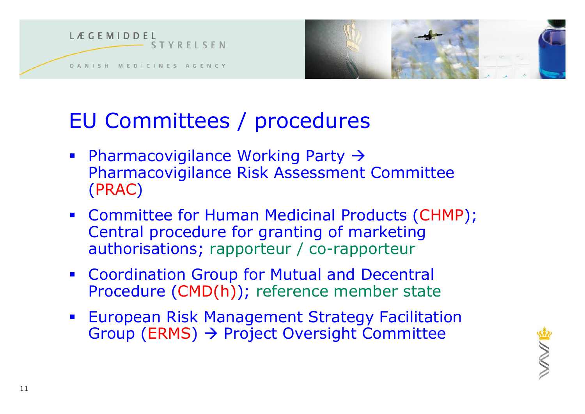



## EU Committees / procedures

- Pharmacovigilance Working Party  $\rightarrow$ Pharmacovigilance Risk Assessment Committee (PRAC)
- Committee for Human Medicinal Products (CHMP); Central procedure for granting of marketing authorisations; rapporteur / co-rapporteur
- **Coordination Group for Mutual and Decentral** Procedure (CMD(h)); reference member state
- **European Risk Management Strategy Facilitation** Group (ERMS)  $\rightarrow$  Project Oversight Committee

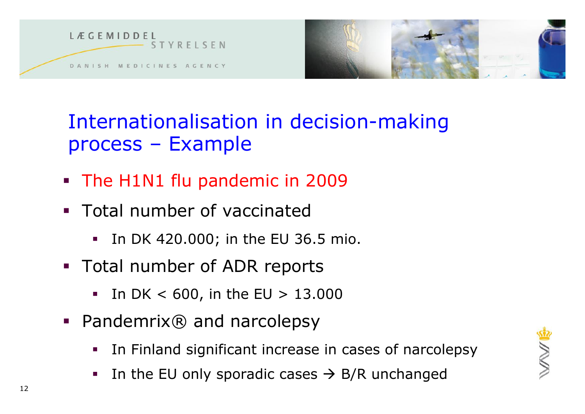

Internationalisation in decision-making process – Example

- The H1N1 flu pandemic in 2009
- **Total number of vaccinated** 
	- In DK 420.000; in the EU 36.5 mio.
- **Total number of ADR reports** 
	- $\blacksquare$  In DK < 600, in the EU > 13.000
- Pandemrix<sup>®</sup> and narcolepsy
	- In Finland significant increase in cases of narcolepsy
	- In the EU only sporadic cases  $\rightarrow$  B/R unchanged

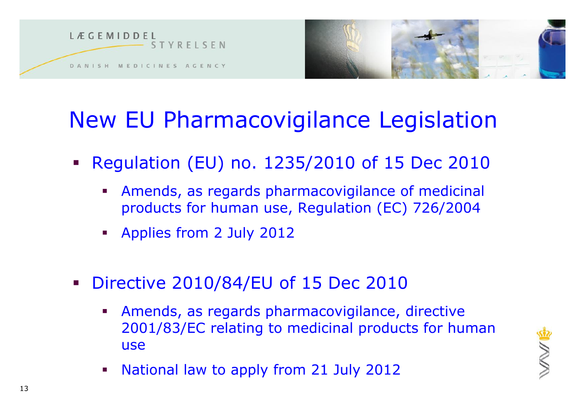



## New EU Pharmacovigilance Legislation

- Regulation (EU) no. 1235/2010 of 15 Dec 2010
	- Amends, as regards pharmacovigilance of medicinal products for human use, Regulation (EC) 726/2004
	- **Applies from 2 July 2012**
- **Directive 2010/84/EU of 15 Dec 2010** 
	- Amends, as regards pharmacovigilance, directive 2001/83/EC relating to medicinal products for human use
	- National law to apply from 21 July 2012

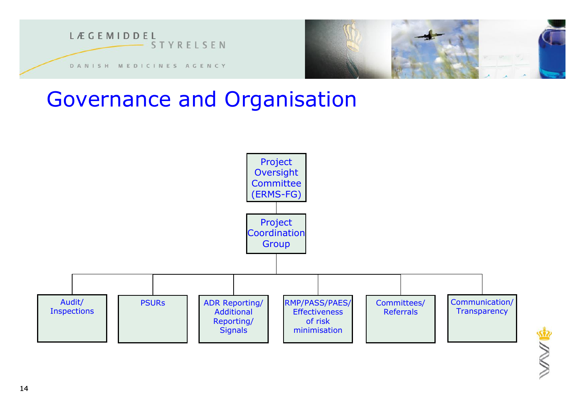

#### Governance and Organisation

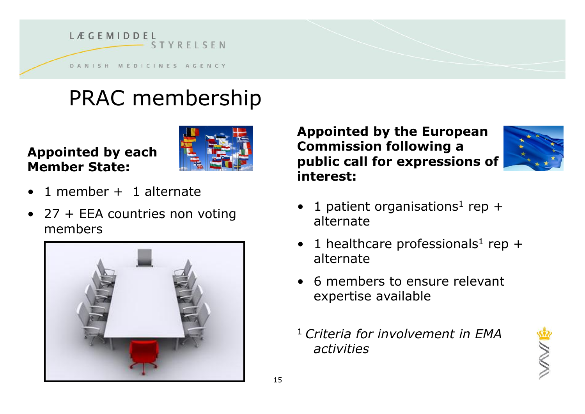

## PRAC membership

#### **Appointed by each Member State:**



- $\bullet$  1 member + 1 alternate
- 27 + EEA countries non voting members



**Appointed by the European Commission following a public call for expressions of interest:**

- 1 patient organisations<sup>1</sup> rep + alternate
- 1 healthcare professionals<sup>1</sup> rep + alternate
- 6 members to ensure relevant expertise available
- <sup>1</sup>*Criteria for involvement in EMA activities*

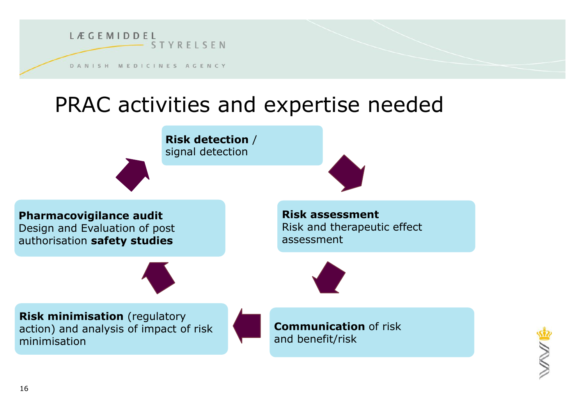

#### PRAC activities and expertise needed



**Pharmacovigilance audit** Design and Evaluation of post authorisation **safety studies**

**Risk assessment** Risk and therapeutic effect assessment



**Risk minimisation** (regulatory action) and analysis of impact of risk minimisation

**Communication** of risk and benefit/risk

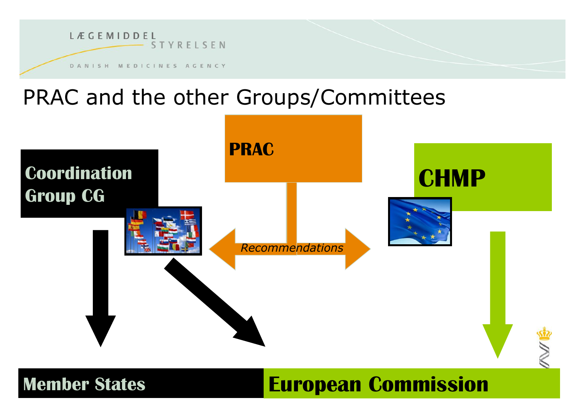

## PRAC and the other Groups/Committees



**European Commission** 

**Member States**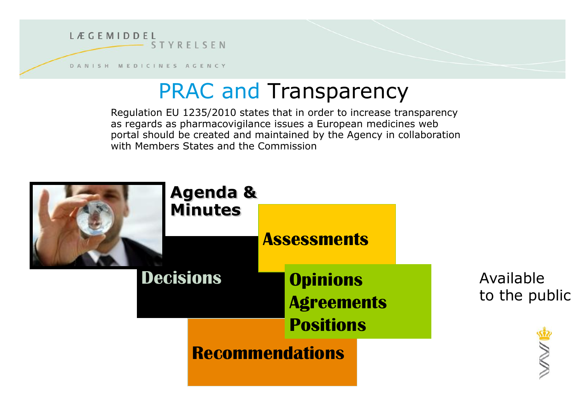

DANISH MEDICINES AGENCY

## PRAC and Transparency

Regulation EU 1235/2010 states that in order to increase transparency as regards as pharmacovigilance issues a European medicines web portal should be created and maintained by the Agency in collaboration with Members States and the Commission

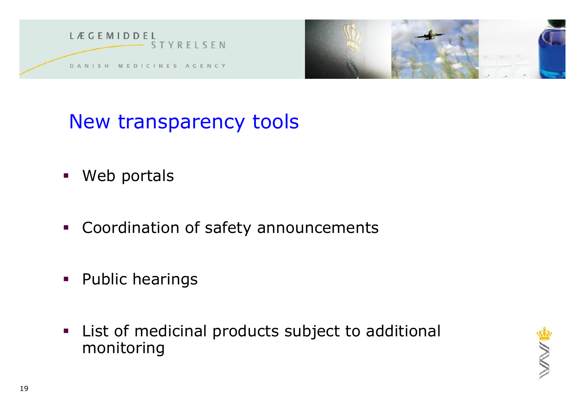



## New transparency tools

- Web portals
- **Coordination of safety announcements**
- **Public hearings**
- **EXECT List of medicinal products subject to additional** monitoring

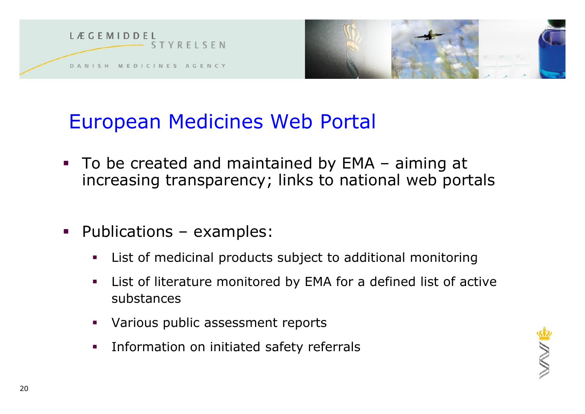



#### European Medicines Web Portal

- To be created and maintained by EMA aiming at increasing transparency; links to national web portals
- **•** Publications examples:
	- List of medicinal products subject to additional monitoring
	- List of literature monitored by EMA for a defined list of active substances
	- Various public assessment reports
	- **Information on initiated safety referrals**

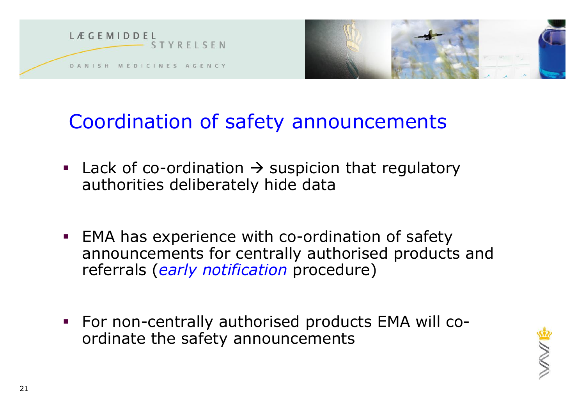



#### Coordination of safety announcements

- **Lack of co-ordination**  $\rightarrow$  **suspicion that regulatory** authorities deliberately hide data
- **EMA has experience with co-ordination of safety** announcements for centrally authorised products and referrals (*early notification* procedure)
- For non-centrally authorised products EMA will coordinate the safety announcements

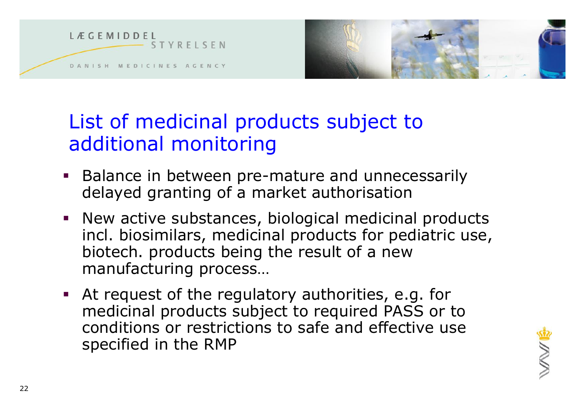

#### List of medicinal products subject to additional monitoring

- **Balance in between pre-mature and unnecessarily** delayed granting of a market authorisation
- New active substances, biological medicinal products incl. biosimilars, medicinal products for pediatric use, biotech. products being the result of a new manufacturing process…
- At request of the regulatory authorities, e.g. for medicinal products subject to required PASS or to conditions or restrictions to safe and effective use specified in the RMP

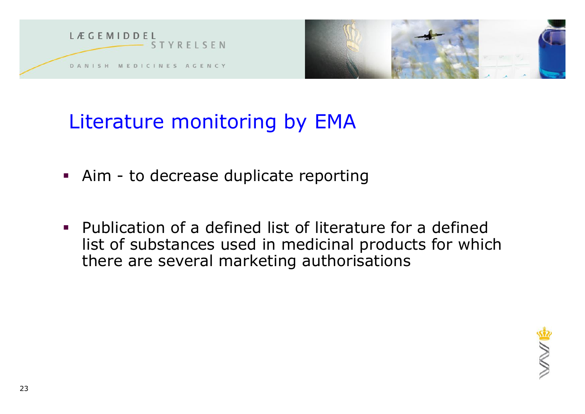

### Literature monitoring by EMA

- Aim to decrease duplicate reporting
- Publication of a defined list of literature for a defined list of substances used in medicinal products for which there are several marketing authorisations

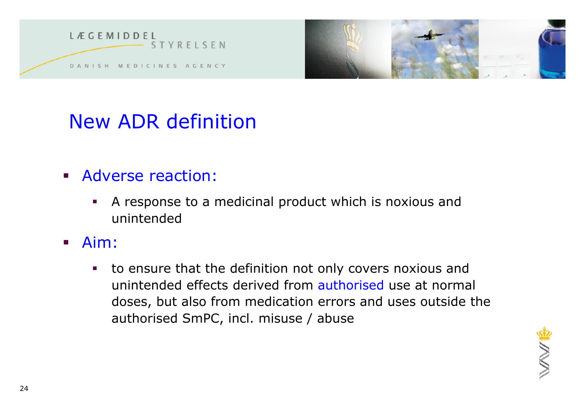



#### New ADR definition

- **Adverse reaction:** 
	- A response to a medicinal product which is noxious and unintended
- Aim:
	- to ensure that the definition not only covers noxious and unintended effects derived from authorised use at normal doses, but also from medication errors and uses outside the authorised SmPC, incl. misuse / abuse

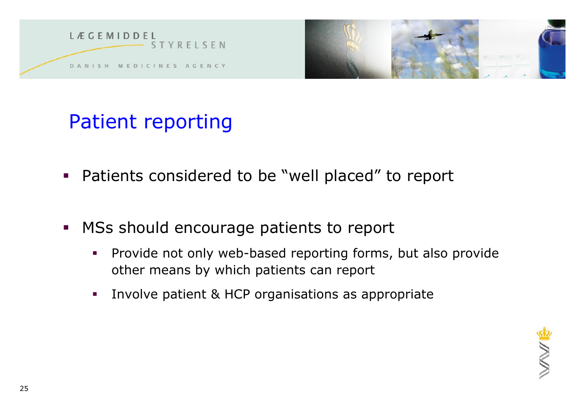



## Patient reporting

- Patients considered to be "well placed" to report
- MSs should encourage patients to report
	- **Provide not only web-based reporting forms, but also provide** other means by which patients can report
	- **Involve patient & HCP organisations as appropriate**

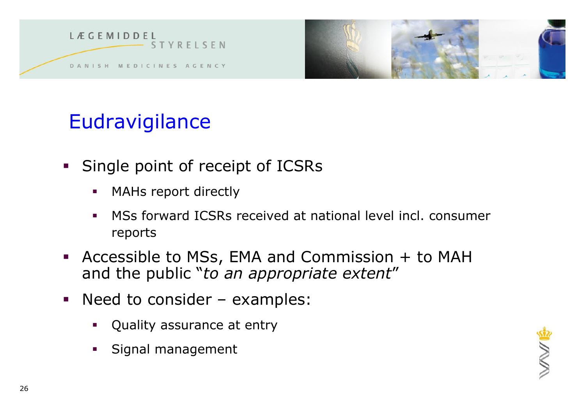



## **Eudravigilance**

- **Single point of receipt of ICSRs** 
	- **MAHs report directly**
	- MSs forward ICSRs received at national level incl. consumer reports
- Accessible to MSs, EMA and Commission + to MAH and the public "*to an appropriate extent*"
- Need to consider examples:
	- Quality assurance at entry
	- Signal management

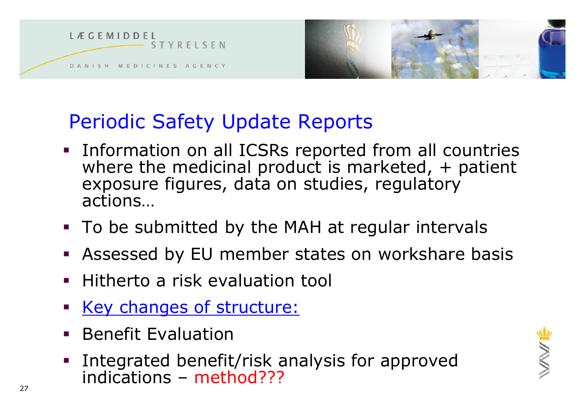

#### Periodic Safety Update Reports

- **Information on all ICSRs reported from all countries** where the medicinal product is marketed,  $+$  patient exposure figures, data on studies, regulatory actions…
- To be submitted by the MAH at regular intervals
- Assessed by EU member states on workshare basis
- **Hitherto a risk evaluation tool**
- Key changes of structure:
- **Benefit Evaluation**
- Integrated benefit/risk analysis for approved indications – method???

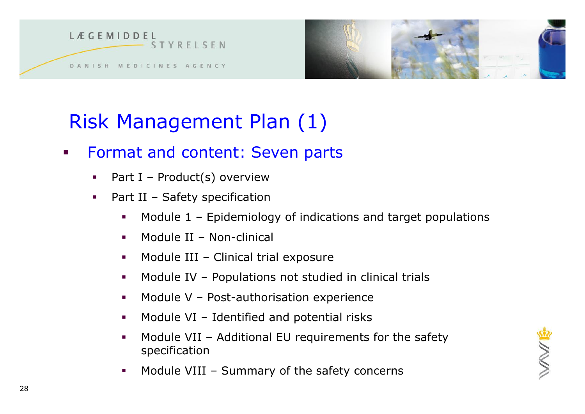

## Risk Management Plan (1)

- **Format and content: Seven parts** 
	- Part I Product(s) overview
	- Part II Safety specification
		- Module 1 Epidemiology of indications and target populations
		- Module II Non-clinical
		- $\blacksquare$  Module III Clinical trial exposure
		- **Module IV Populations not studied in clinical trials**
		- $\blacksquare$  Module V Post-authorisation experience
		- $\blacksquare$  Module VI Identified and potential risks
		- **•** Module VII Additional EU requirements for the safety specification
		- **Module VIII Summary of the safety concerns**

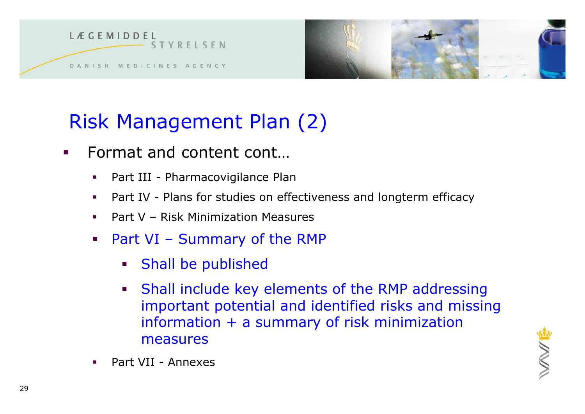

## Risk Management Plan (2)

- Format and content cont...
	- Part III Pharmacovigilance Plan
	- Part IV Plans for studies on effectiveness and longterm efficacy
	- Part V Risk Minimization Measures
	- Part VI Summary of the RMP
		- **Shall be published**
		- **Shall include key elements of the RMP addressing** important potential and identified risks and missing information + a summary of risk minimization measures
- 

Part VII - Annexes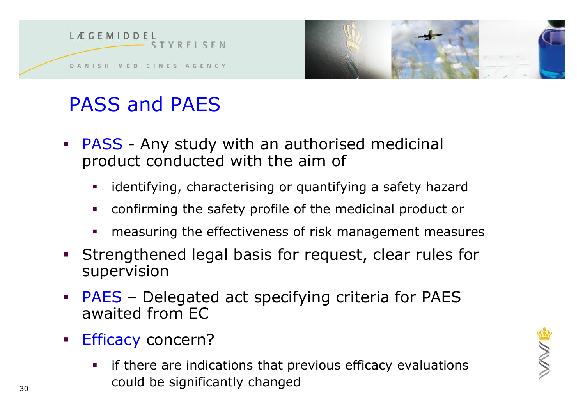

## PASS and PAES

- **PASS** Any study with an authorised medicinal product conducted with the aim of
	- identifying, characterising or quantifying a safety hazard
	- confirming the safety profile of the medicinal product or
	- measuring the effectiveness of risk management measures
- Strengthened legal basis for request, clear rules for supervision
- PAES Delegated act specifying criteria for PAES awaited from EC
- **Efficacy concern?** 
	- if there are indications that previous efficacy evaluations could be significantly changed

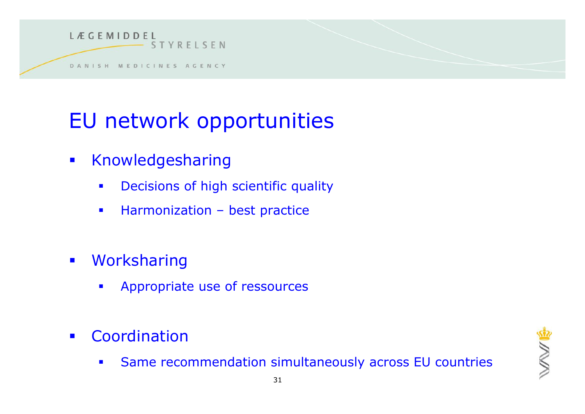

## EU network opportunities

- **Knowledgesharing** 
	- **•** Decisions of high scientific quality
	- **Harmonization best practice**
- **·** Worksharing
	- **Appropriate use of ressources**
- **Coordination** 
	- Same recommendation simultaneously across EU countries

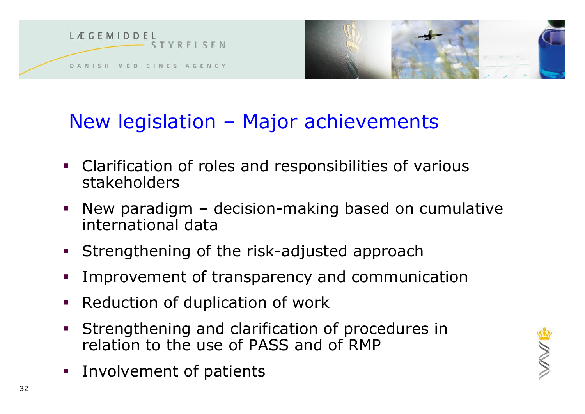



#### New legislation – Major achievements

- Clarification of roles and responsibilities of various stakeholders
- New paradigm decision-making based on cumulative international data
- **Strengthening of the risk-adjusted approach**
- Improvement of transparency and communication
- **Reduction of duplication of work**
- **Strengthening and clarification of procedures in** relation to the use of PASS and of RMP
- **Involvement of patients**